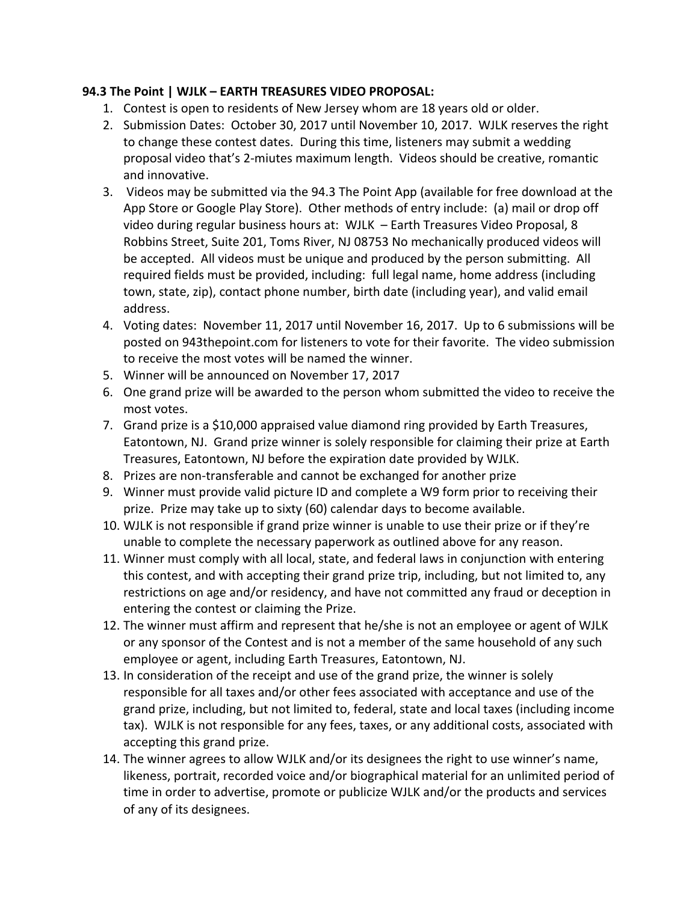## **94.3 The Point | WJLK – EARTH TREASURES VIDEO PROPOSAL:**

- 1. Contest is open to residents of New Jersey whom are 18 years old or older.
- 2. Submission Dates: October 30, 2017 until November 10, 2017. WJLK reserves the right to change these contest dates. During this time, listeners may submit a wedding proposal video that's 2-miutes maximum length. Videos should be creative, romantic and innovative.
- 3. Videos may be submitted via the 94.3 The Point App (available for free download at the App Store or Google Play Store). Other methods of entry include: (a) mail or drop off video during regular business hours at: WJLK - Earth Treasures Video Proposal, 8 Robbins Street, Suite 201, Toms River, NJ 08753 No mechanically produced videos will be accepted. All videos must be unique and produced by the person submitting. All required fields must be provided, including: full legal name, home address (including town, state, zip), contact phone number, birth date (including year), and valid email address.
- 4. Voting dates: November 11, 2017 until November 16, 2017. Up to 6 submissions will be posted on 943thepoint.com for listeners to vote for their favorite. The video submission to receive the most votes will be named the winner.
- 5. Winner will be announced on November 17, 2017
- 6. One grand prize will be awarded to the person whom submitted the video to receive the most votes.
- 7. Grand prize is a \$10,000 appraised value diamond ring provided by Earth Treasures, Eatontown, NJ. Grand prize winner is solely responsible for claiming their prize at Earth Treasures, Eatontown, NJ before the expiration date provided by WJLK.
- 8. Prizes are non-transferable and cannot be exchanged for another prize
- 9. Winner must provide valid picture ID and complete a W9 form prior to receiving their prize. Prize may take up to sixty (60) calendar days to become available.
- 10. WJLK is not responsible if grand prize winner is unable to use their prize or if they're unable to complete the necessary paperwork as outlined above for any reason.
- 11. Winner must comply with all local, state, and federal laws in conjunction with entering this contest, and with accepting their grand prize trip, including, but not limited to, any restrictions on age and/or residency, and have not committed any fraud or deception in entering the contest or claiming the Prize.
- 12. The winner must affirm and represent that he/she is not an employee or agent of WJLK or any sponsor of the Contest and is not a member of the same household of any such employee or agent, including Earth Treasures, Eatontown, NJ.
- 13. In consideration of the receipt and use of the grand prize, the winner is solely responsible for all taxes and/or other fees associated with acceptance and use of the grand prize, including, but not limited to, federal, state and local taxes (including income tax). WJLK is not responsible for any fees, taxes, or any additional costs, associated with accepting this grand prize.
- 14. The winner agrees to allow WJLK and/or its designees the right to use winner's name, likeness, portrait, recorded voice and/or biographical material for an unlimited period of time in order to advertise, promote or publicize WJLK and/or the products and services of any of its designees.